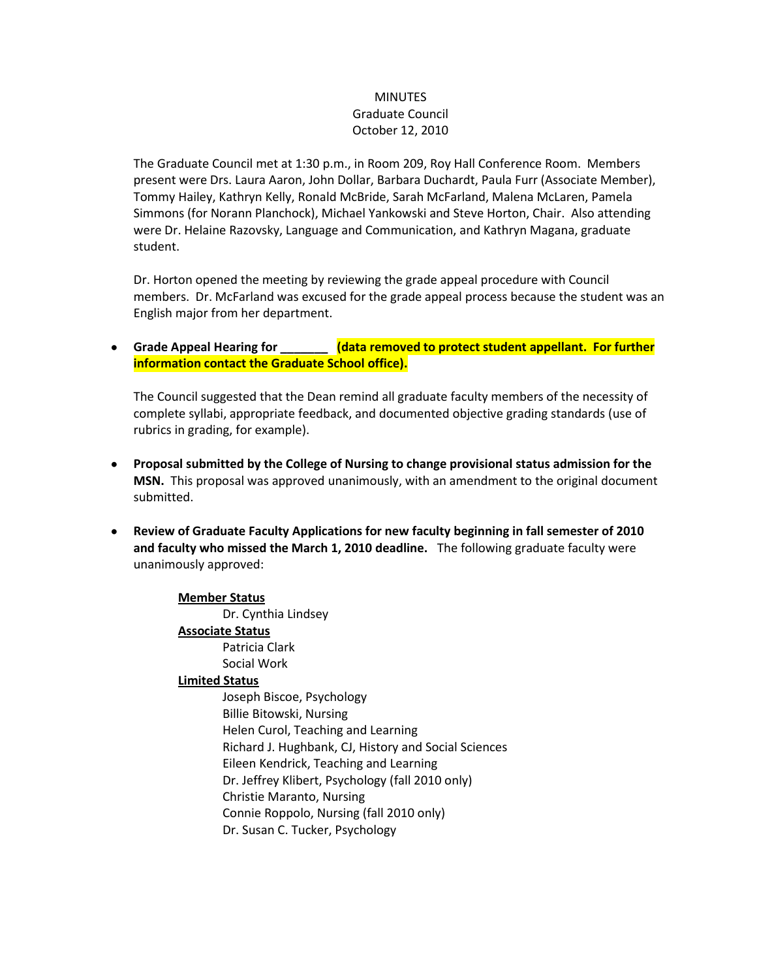## **MINUTES** Graduate Council October 12, 2010

The Graduate Council met at 1:30 p.m., in Room 209, Roy Hall Conference Room. Members present were Drs. Laura Aaron, John Dollar, Barbara Duchardt, Paula Furr (Associate Member), Tommy Hailey, Kathryn Kelly, Ronald McBride, Sarah McFarland, Malena McLaren, Pamela Simmons (for Norann Planchock), Michael Yankowski and Steve Horton, Chair. Also attending were Dr. Helaine Razovsky, Language and Communication, and Kathryn Magana, graduate student.

Dr. Horton opened the meeting by reviewing the grade appeal procedure with Council members. Dr. McFarland was excused for the grade appeal process because the student was an English major from her department.

**Grade Appeal Hearing for \_\_\_\_\_\_\_ (data removed to protect student appellant. For further information contact the Graduate School office).**

The Council suggested that the Dean remind all graduate faculty members of the necessity of complete syllabi, appropriate feedback, and documented objective grading standards (use of rubrics in grading, for example).

- **Proposal submitted by the College of Nursing to change provisional status admission for the MSN.** This proposal was approved unanimously, with an amendment to the original document submitted.
- **Review of Graduate Faculty Applications for new faculty beginning in fall semester of 2010 and faculty who missed the March 1, 2010 deadline.** The following graduate faculty were unanimously approved:

## **Member Status**

Dr. Cynthia Lindsey **Associate Status** Patricia Clark

Social Work

## **Limited Status**

Joseph Biscoe, Psychology Billie Bitowski, Nursing Helen Curol, Teaching and Learning Richard J. Hughbank, CJ, History and Social Sciences Eileen Kendrick, Teaching and Learning Dr. Jeffrey Klibert, Psychology (fall 2010 only) Christie Maranto, Nursing Connie Roppolo, Nursing (fall 2010 only) Dr. Susan C. Tucker, Psychology